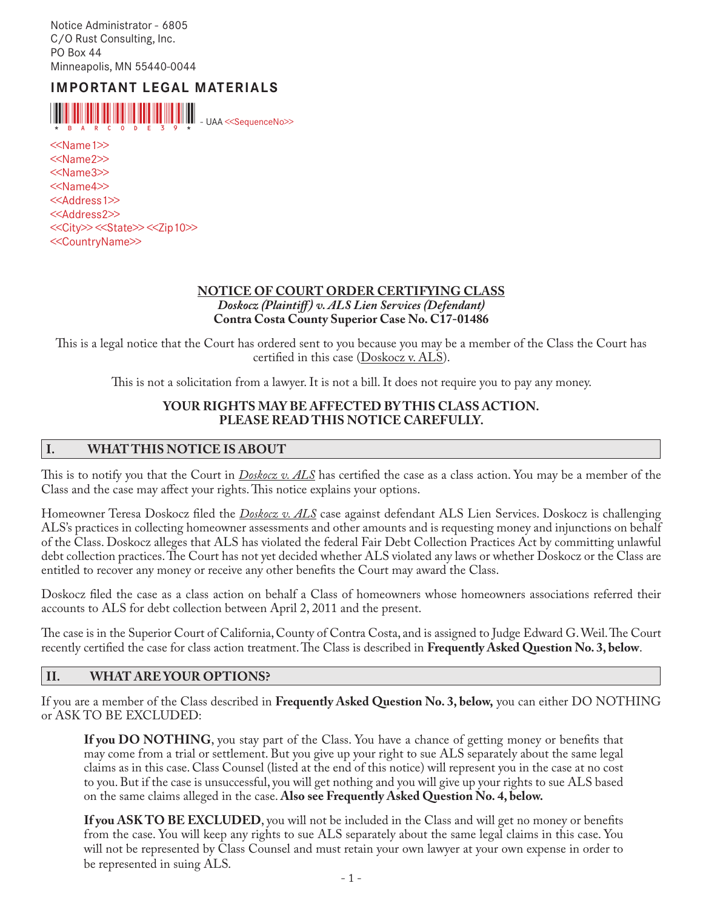Notice Administrator - 6805 C/O Rust Consulting, Inc. PO Box 44 Minneapolis, MN 55440-0044

# **IMPORTANT LEGAL MATERIALS**



<<Name1>> <<Name2>> <<Name3>> <<Name4>> <<Address1>> <<Address2>> <<City>> <<State>> <<Zip10>> <<CountryName>>

#### **NOTICE OF COURT ORDER CERTIFYING CLASS** *Doskocz (Plaintiff ) v. ALS Lien Services (Defendant)* **Contra Costa County Superior Case No. C17-01486**

This is a legal notice that the Court has ordered sent to you because you may be a member of the Class the Court has certified in this case (Doskocz v. ALS).

This is not a solicitation from a lawyer. It is not a bill. It does not require you to pay any money.

#### **YOUR RIGHTS MAY BE AFFECTED BY THIS CLASS ACTION. PLEASE READ THIS NOTICE CAREFULLY.**

#### **I. WHAT THIS NOTICE IS ABOUT**

This is to notify you that the Court in *Doskocz v. ALS* has certified the case as a class action. You may be a member of the Class and the case may affect your rights. This notice explains your options.

Homeowner Teresa Doskocz filed the *Doskocz v. ALS* case against defendant ALS Lien Services. Doskocz is challenging ALS's practices in collecting homeowner assessments and other amounts and is requesting money and injunctions on behalf of the Class. Doskocz alleges that ALS has violated the federal Fair Debt Collection Practices Act by committing unlawful debt collection practices. The Court has not yet decided whether ALS violated any laws or whether Doskocz or the Class are entitled to recover any money or receive any other benefits the Court may award the Class.

Doskocz filed the case as a class action on behalf a Class of homeowners whose homeowners associations referred their accounts to ALS for debt collection between April 2, 2011 and the present.

The case is in the Superior Court of California, County of Contra Costa, and is assigned to Judge Edward G. Weil. The Court recently certified the case for class action treatment. The Class is described in **Frequently Asked Question No. 3, below**.

#### **II. WHAT ARE YOUR OPTIONS?**

If you are a member of the Class described in **Frequently Asked Question No. 3, below,** you can either DO NOTHING or ASK TO BE EXCLUDED:

**If you DO NOTHING**, you stay part of the Class. You have a chance of getting money or benefits that may come from a trial or settlement. But you give up your right to sue ALS separately about the same legal claims as in this case. Class Counsel (listed at the end of this notice) will represent you in the case at no cost to you. But if the case is unsuccessful, you will get nothing and you will give up your rights to sue ALS based on the same claims alleged in the case. **Also see Frequently Asked Question No. 4, below.** 

**If you ASK TO BE EXCLUDED**, you will not be included in the Class and will get no money or benefits from the case. You will keep any rights to sue ALS separately about the same legal claims in this case. You will not be represented by Class Counsel and must retain your own lawyer at your own expense in order to be represented in suing ALS.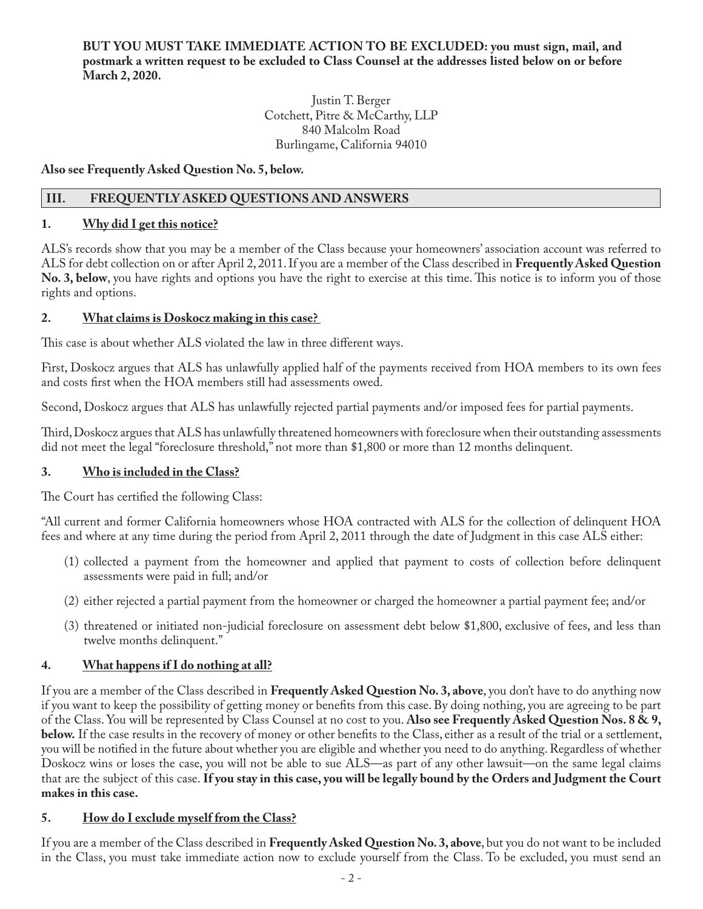#### **BUT YOU MUST TAKE IMMEDIATE ACTION TO BE EXCLUDED: you must sign, mail, and postmark a written request to be excluded to Class Counsel at the addresses listed below on or before March 2, 2020.**

Justin T. Berger Cotchett, Pitre & McCarthy, LLP 840 Malcolm Road Burlingame, California 94010

**Also see Frequently Asked Question No. 5, below.** 

# **III. FREQUENTLY ASKED QUESTIONS AND ANSWERS**

# **1. Why did I get this notice?**

ALS's records show that you may be a member of the Class because your homeowners' association account was referred to ALS for debt collection on or after April 2, 2011. If you are a member of the Class described in **Frequently Asked Question No. 3, below**, you have rights and options you have the right to exercise at this time. This notice is to inform you of those rights and options.

# **2. What claims is Doskocz making in this case?**

This case is about whether ALS violated the law in three different ways.

First, Doskocz argues that ALS has unlawfully applied half of the payments received from HOA members to its own fees and costs first when the HOA members still had assessments owed.

Second, Doskocz argues that ALS has unlawfully rejected partial payments and/or imposed fees for partial payments.

Third, Doskocz argues that ALS has unlawfully threatened homeowners with foreclosure when their outstanding assessments did not meet the legal "foreclosure threshold," not more than \$1,800 or more than 12 months delinquent.

# **3. Who is included in the Class?**

The Court has certified the following Class:

"All current and former California homeowners whose HOA contracted with ALS for the collection of delinquent HOA fees and where at any time during the period from April 2, 2011 through the date of Judgment in this case ALS either:

- (1) collected a payment from the homeowner and applied that payment to costs of collection before delinquent assessments were paid in full; and/or
- (2) either rejected a partial payment from the homeowner or charged the homeowner a partial payment fee; and/or
- (3) threatened or initiated non-judicial foreclosure on assessment debt below \$1,800, exclusive of fees, and less than twelve months delinquent."

# **4. What happens if I do nothing at all?**

If you are a member of the Class described in **Frequently Asked Question No. 3, above**, you don't have to do anything now if you want to keep the possibility of getting money or benefits from this case. By doing nothing, you are agreeing to be part of the Class. You will be represented by Class Counsel at no cost to you. **Also see Frequently Asked Question Nos. 8 & 9, below.** If the case results in the recovery of money or other benefits to the Class, either as a result of the trial or a settlement, you will be notified in the future about whether you are eligible and whether you need to do anything. Regardless of whether Doskocz wins or loses the case, you will not be able to sue ALS—as part of any other lawsuit—on the same legal claims that are the subject of this case. **If you stay in this case, you will be legally bound by the Orders and Judgment the Court makes in this case.**

# **5. How do I exclude myself from the Class?**

If you are a member of the Class described in **Frequently Asked Question No. 3, above**, but you do not want to be included in the Class, you must take immediate action now to exclude yourself from the Class. To be excluded, you must send an